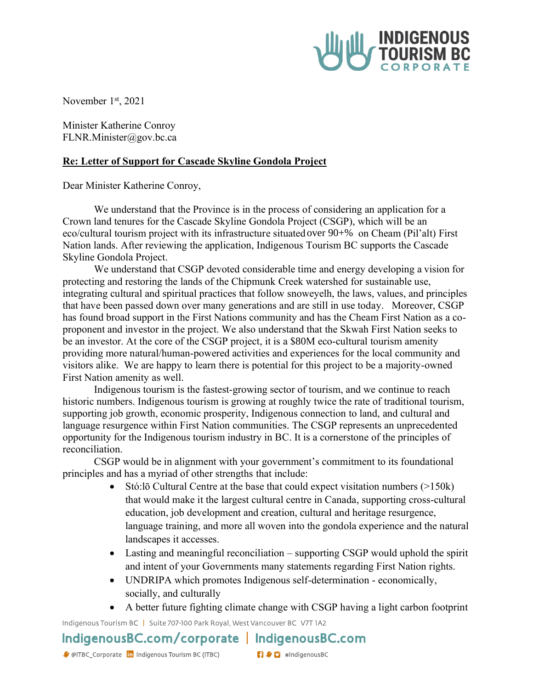

November 1<sup>st</sup>, 2021

Minister Katherine Conroy [FLNR.Minister@gov.bc.ca](mailto:%20FLNR.Minister@gov.bc.ca)

## **Re: Letter of Support for Cascade Skyline Gondola Project**

Dear Minister Katherine Conroy,

We understand that the Province is in the process of considering an application for a Crown land tenures for the Cascade Skyline Gondola Project (CSGP), which will be an eco/cultural tourism project with its infrastructure situated over 90+% on Cheam (Pil'alt) First Nation lands. After reviewing the application, Indigenous Tourism BC supports the Cascade Skyline Gondola Project.

We understand that CSGP devoted considerable time and energy developing a vision for protecting and restoring the lands of the Chipmunk Creek watershed for sustainable use, integrating cultural and spiritual practices that follow snoweyelh, the laws, values, and principles that have been passed down over many generations and are still in use today. Moreover, CSGP has found broad support in the First Nations community and has the Cheam First Nation as a coproponent and investor in the project. We also understand that the Skwah First Nation seeks to be an investor. At the core of the CSGP project, it is a \$80M eco-cultural tourism amenity providing more natural/human-powered activities and experiences for the local community and visitors alike. We are happy to learn there is potential for this project to be a majority-owned First Nation amenity as well.

Indigenous tourism is the fastest-growing sector of tourism, and we continue to reach historic numbers. Indigenous tourism is growing at roughly twice the rate of traditional tourism, supporting job growth, economic prosperity, Indigenous connection to land, and cultural and language resurgence within First Nation communities. The CSGP represents an unprecedented opportunity for the Indigenous tourism industry in BC. It is a cornerstone of the principles of reconciliation.

CSGP would be in alignment with your government's commitment to its foundational principles and has a myriad of other strengths that include:

- Stó:lō Cultural Centre at the base that could expect visitation numbers (>150k) that would make it the largest cultural centre in Canada, supporting cross-cultural education, job development and creation, cultural and heritage resurgence, language training, and more all woven into the gondola experience and the natural landscapes it accesses.
- Lasting and meaningful reconciliation supporting CSGP would uphold the spirit and intent of your Governments many statements regarding First Nation rights.
- UNDRIPA which promotes Indigenous self-determination economically, socially, and culturally
- A better future fighting climate change with CSGP having a light carbon footprint

Indigenous Tourism BC | Suite 707-100 Park Royal, West Vancouver BC V7T 1A2

## IndigenousBC.com/corporate | IndigenousBC.com

**n**  $\bullet$  **n** #IndigenousBC